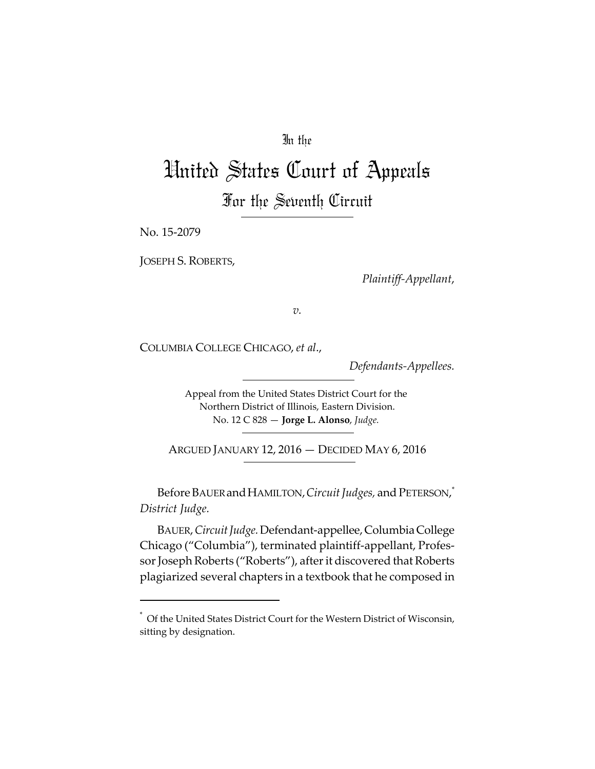# In the

# United States Court of Appeals For the Seventh Circuit

No. 15‐2079

JOSEPH S. ROBERTS,

*Plaintiff‐Appellant*,

*v.*

COLUMBIA COLLEGE CHICAGO, *et al*.,

*Defendants‐Appellees.*

Appeal from the United States District Court for the Northern District of Illinois, Eastern Division. No. 12 C 828 — **Jorge L. Alonso**, *Judge.*

ARGUED JANUARY 12, 2016 — DECIDED MAY 6, 2016

Before Bauer and Hamilton*, Circuit Judges,* and Peterson,  $\checkmark$ *District Judge.*

BAUER,*CircuitJudge.*Defendant‐appellee,ColumbiaCollege Chicago ("Columbia"), terminated plaintiff‐appellant, Profes‐ sor Joseph Roberts ("Roberts"), after it discovered that Roberts plagiarized several chapters in a textbook that he composed in

<sup>\*</sup> Of the United States District Court for the Western District of Wisconsin, sitting by designation.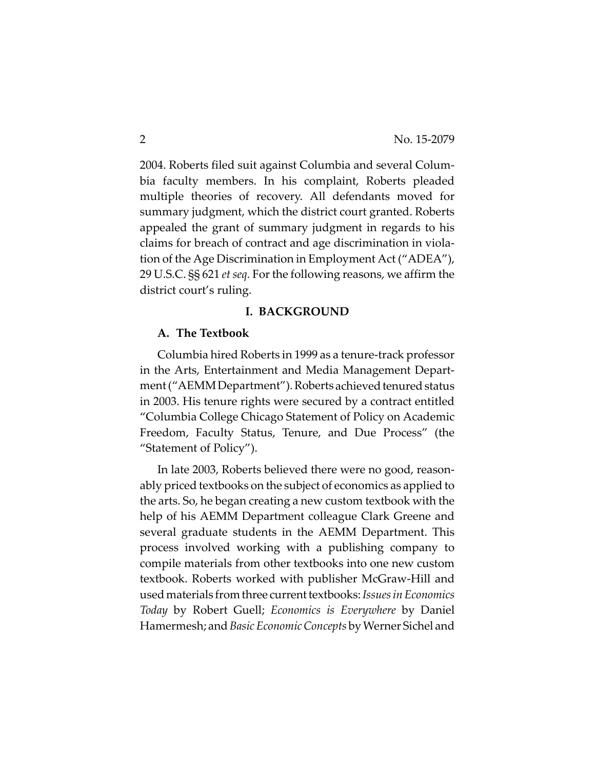2004. Roberts filed suit against Columbia and several Colum‐ bia faculty members. In his complaint, Roberts pleaded multiple theories of recovery. All defendants moved for summary judgment, which the district court granted. Roberts appealed the grant of summary judgment in regards to his claims for breach of contract and age discrimination in viola‐ tion of the Age Discrimination in Employment Act ("ADEA"), 29 U.S.C. §§ 621 *et seq.* Forthe following reasons, we affirm the district court's ruling.

#### **I. BACKGROUND**

#### **A. The Textbook**

Columbia hired Roberts in 1999 as a tenure‐track professor in the Arts, Entertainment and Media Management Depart‐ ment ("AEMM Department"). Roberts achieved tenured status in 2003. His tenure rights were secured by a contract entitled "Columbia College Chicago Statement of Policy on Academic Freedom, Faculty Status, Tenure, and Due Process" (the "Statement of Policy").

In late 2003, Roberts believed there were no good, reason‐ ably priced textbooks on the subject of economics as applied to the arts. So, he began creating a new custom textbook with the help of his AEMM Department colleague Clark Greene and several graduate students in the AEMM Department. This process involved working with a publishing company to compile materials from other textbooks into one new custom textbook. Roberts worked with publisher McGraw‐Hill and usedmaterials from three currenttextbooks:*IssuesinEconomics Today* by Robert Guell; *Economics is Everywhere* by Daniel Hamermesh; and*BasicEconomicConcepts* byWerner Sichel and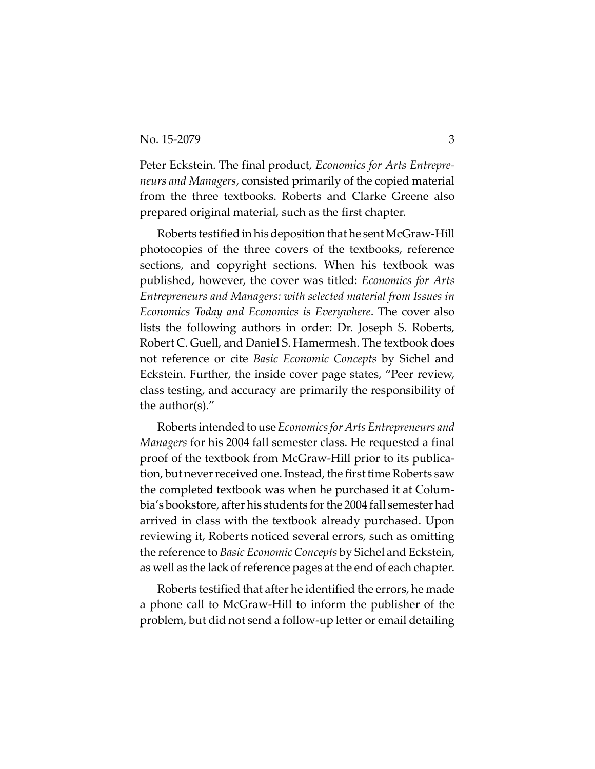Peter Eckstein. The final product, *Economics for Arts Entrepre‐ neurs and Managers*, consisted primarily of the copied material from the three textbooks. Roberts and Clarke Greene also prepared original material, such as the first chapter.

Roberts testified in his deposition that he sent McGraw-Hill photocopies of the three covers of the textbooks, reference sections, and copyright sections. When his textbook was published, however, the cover was titled: *Economics for Arts Entrepreneurs and Managers: with selected material from Issues in Economics Today and Economics is Everywhere*. The cover also lists the following authors in order: Dr. Joseph S. Roberts, Robert C. Guell, and Daniel S. Hamermesh. The textbook does not reference or cite *Basic Economic Concepts* by Sichel and Eckstein. Further, the inside cover page states, "Peer review, class testing, and accuracy are primarily the responsibility of the author(s)."

Roberts intendedtouse*Economicsfor ArtsEntrepreneurs and Managers* for his 2004 fall semester class. He requested a final proof of the textbook from McGraw‐Hill prior to its publica‐ tion, but never received one. Instead, the first time Roberts saw the completed textbook was when he purchased it at Colum‐ bia's bookstore, after his students forthe 2004 fall semester had arrived in class with the textbook already purchased. Upon reviewing it, Roberts noticed several errors, such as omitting the reference to *Basic Economic Concepts* by Sichel and Eckstein, as well as the lack of reference pages at the end of each chapter.

Roberts testified that after he identified the errors, he made a phone call to McGraw‐Hill to inform the publisher of the problem, but did not send a follow‐up letter or email detailing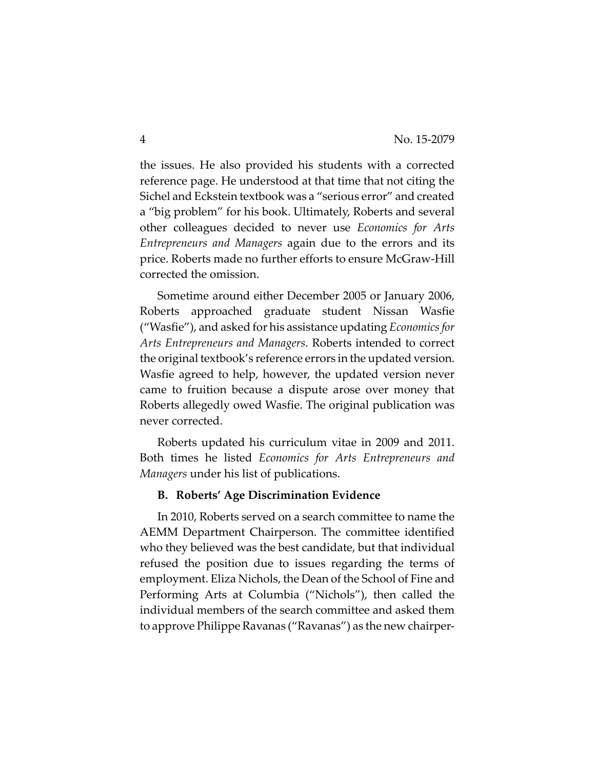the issues. He also provided his students with a corrected reference page. He understood at that time that not citing the Sichel and Eckstein textbook was a "serious error" and created a "big problem" for his book. Ultimately, Roberts and several other colleagues decided to never use *Economics for Arts Entrepreneurs and Managers* again due to the errors and its price. Roberts made no further efforts to ensure McGraw‐Hill corrected the omission.

Sometime around either December 2005 or January 2006, Roberts approached graduate student Nissan Wasfie ("Wasfie"), and asked for his assistance updating *Economicsfor Arts Entrepreneurs and Managers*. Roberts intended to correct the original textbook's reference errors in the updated version. Wasfie agreed to help, however, the updated version never came to fruition because a dispute arose over money that Roberts allegedly owed Wasfie. The original publication was never corrected.

Roberts updated his curriculum vitae in 2009 and 2011. Both times he listed *Economics for Arts Entrepreneurs and Managers* under his list of publications.

#### **B. Roberts' Age Discrimination Evidence**

In 2010, Roberts served on a search committee to name the AEMM Department Chairperson. The committee identified who they believed was the best candidate, but that individual refused the position due to issues regarding the terms of employment. Eliza Nichols, the Dean of the School of Fine and Performing Arts at Columbia ("Nichols"), then called the individual members of the search committee and asked them to approve Philippe Ravanas ("Ravanas") as the new chairper‐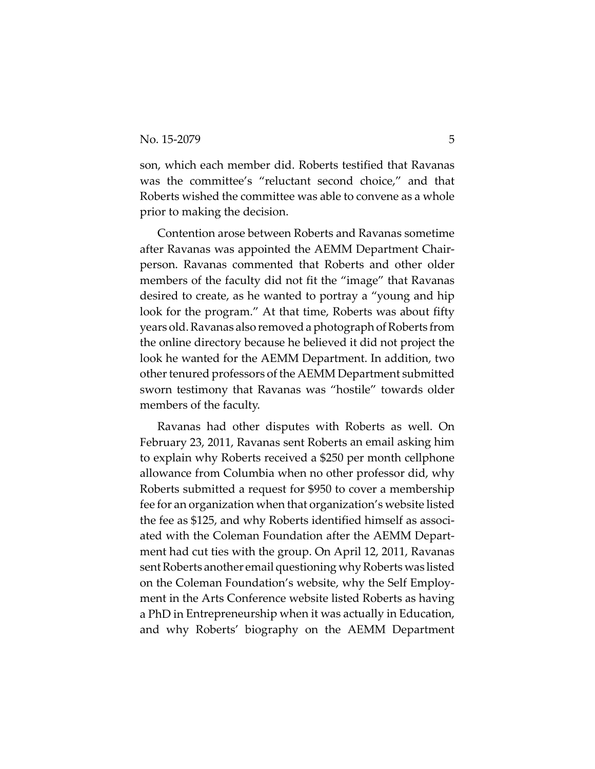son, which each member did. Roberts testified that Ravanas was the committee's "reluctant second choice," and that Roberts wished the committee was able to convene as a whole prior to making the decision.

Contention arose between Roberts and Ravanas sometime after Ravanas was appointed the AEMM Department Chair‐ person. Ravanas commented that Roberts and other older members of the faculty did not fit the "image" that Ravanas desired to create, as he wanted to portray a "young and hip look for the program." At that time, Roberts was about fifty years old. Ravanas also removed a photograph of Roberts from the online directory because he believed it did not project the look he wanted for the AEMM Department. In addition, two other tenured professors of the AEMM Department submitted sworn testimony that Ravanas was "hostile" towards older members of the faculty.

Ravanas had other disputes with Roberts as well. On February 23, 2011, Ravanas sent Roberts an email asking him to explain why Roberts received a \$250 per month cellphone allowance from Columbia when no other professor did, why Roberts submitted a request for \$950 to cover a membership fee for an organization when that organization's website listed the fee as \$125, and why Roberts identified himself as associ‐ ated with the Coleman Foundation after the AEMM Depart‐ ment had cut ties with the group. On April 12, 2011, Ravanas sent Roberts another email questioning why Roberts was listed on the Coleman Foundation's website, why the Self Employ‐ ment in the Arts Conference website listed Roberts as having a PhD in Entrepreneurship when it was actually in Education, and why Roberts' biography on the AEMM Department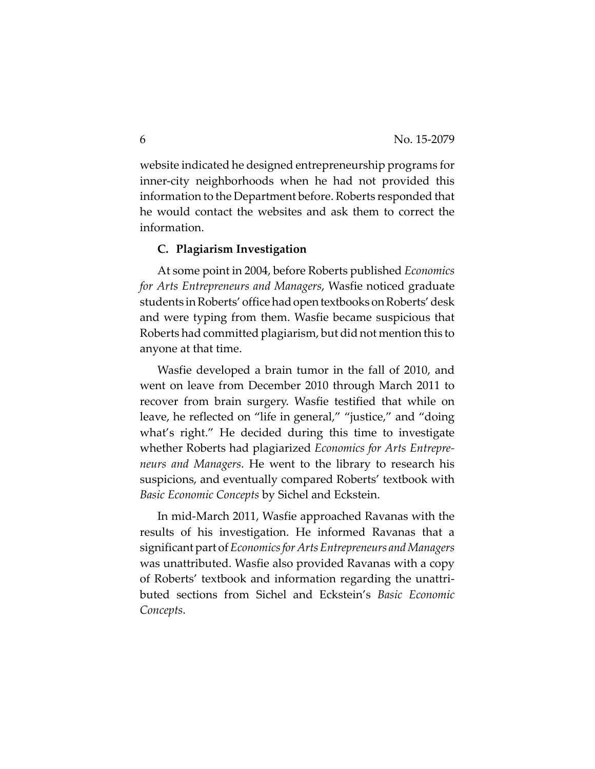website indicated he designed entrepreneurship programs for inner-city neighborhoods when he had not provided this information to the Department before. Roberts responded that he would contact the websites and ask them to correct the information.

#### **C. Plagiarism Investigation**

At some point in 2004, before Roberts published *Economics for Arts Entrepreneurs and Managers*, Wasfie noticed graduate students inRoberts' office hadopentextbooks onRoberts'desk and were typing from them. Wasfie became suspicious that Roberts had committed plagiarism, but did not mention this to anyone at that time.

Wasfie developed a brain tumor in the fall of 2010, and went on leave from December 2010 through March 2011 to recover from brain surgery. Wasfie testified that while on leave, he reflected on "life in general," "justice," and "doing what's right." He decided during this time to investigate whether Roberts had plagiarized *Economics for Arts Entrepre‐ neurs and Managers*. He went to the library to research his suspicions, and eventually compared Roberts' textbook with *Basic Economic Concepts* by Sichel and Eckstein.

In mid‐March 2011, Wasfie approached Ravanas with the results of his investigation. He informed Ravanas that a significantpart of*Economicsfor ArtsEntrepreneurs andManagers* was unattributed. Wasfie also provided Ravanas with a copy of Roberts' textbook and information regarding the unattri‐ buted sections from Sichel and Eckstein's *Basic Economic Concepts*.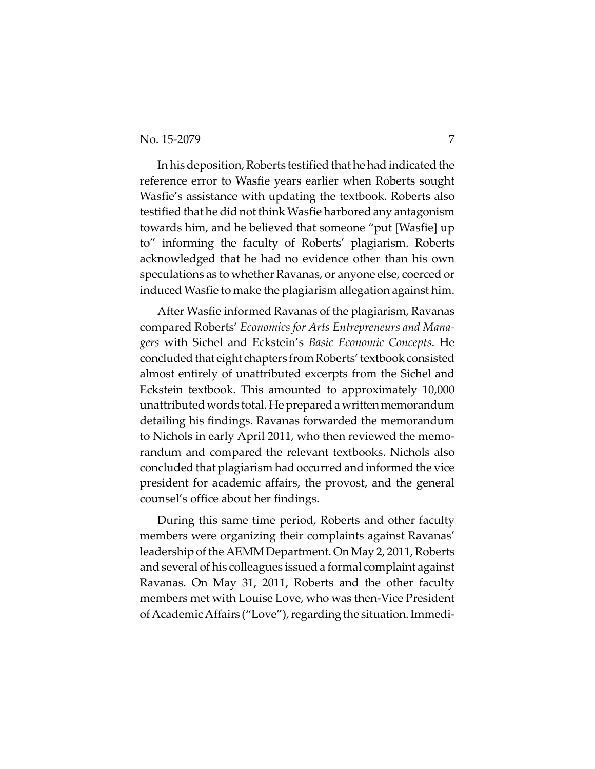In his deposition, Roberts testified that he had indicated the reference error to Wasfie years earlier when Roberts sought Wasfie's assistance with updating the textbook. Roberts also testified that he did not think Wasfie harbored any antagonism towards him, and he believed that someone "put [Wasfie] up to" informing the faculty of Roberts' plagiarism. Roberts acknowledged that he had no evidence other than his own speculations as to whether Ravanas, or anyone else, coerced or induced Wasfie to make the plagiarism allegation against him.

After Wasfie informed Ravanas of the plagiarism, Ravanas compared Roberts' *Economics for Arts Entrepreneurs and Mana‐ gers* with Sichel and Eckstein's *Basic Economic Concepts*. He concluded that eight chapters from Roberts' textbook consisted almost entirely of unattributed excerpts from the Sichel and Eckstein textbook. This amounted to approximately 10,000 unattributed words total. Heprepareda writtenmemorandum detailing his findings. Ravanas forwarded the memorandum to Nichols in early April 2011, who then reviewed the memo‐ randum and compared the relevant textbooks. Nichols also concluded that plagiarism had occurred and informed the vice president for academic affairs, the provost, and the general counsel's office about her findings.

During this same time period, Roberts and other faculty members were organizing their complaints against Ravanas' leadership of the AEMM Department. On May 2, 2011, Roberts and several of his colleagues issued a formal complaint against Ravanas. On May 31, 2011, Roberts and the other faculty members met with Louise Love, who was then‐Vice President of Academic Affairs ("Love"), regarding the situation. Immedi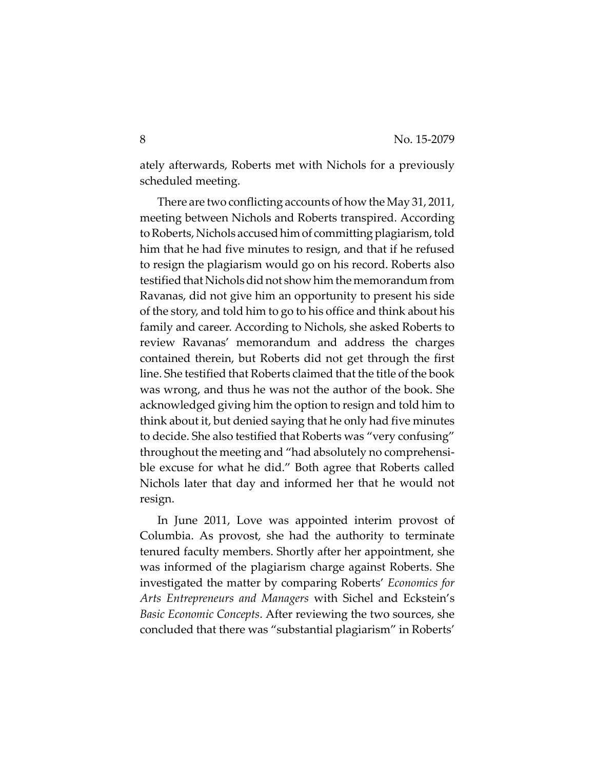ately afterwards, Roberts met with Nichols for a previously scheduled meeting.

There are two conflicting accounts of how the May 31, 2011, meeting between Nichols and Roberts transpired. According to Roberts, Nichols accused him of committing plagiarism, told him that he had five minutes to resign, and that if he refused to resign the plagiarism would go on his record. Roberts also testified that Nichols did not show him the memorandum from Ravanas, did not give him an opportunity to present his side of the story, and told him to go to his office and think about his family and career. According to Nichols, she asked Roberts to review Ravanas' memorandum and address the charges contained therein, but Roberts did not get through the first line. She testified that Roberts claimed that the title of the book was wrong, and thus he was not the author of the book. She acknowledged giving him the option to resign and told him to think about it, but denied saying that he only had five minutes to decide. She also testified that Roberts was "very confusing" throughout the meeting and "had absolutely no comprehensi‐ ble excuse for what he did." Both agree that Roberts called Nichols later that day and informed her that he would not resign.

In June 2011, Love was appointed interim provost of Columbia. As provost, she had the authority to terminate tenured faculty members. Shortly after her appointment, she was informed of the plagiarism charge against Roberts. She investigated the matter by comparing Roberts' *Economics for Arts Entrepreneurs and Managers* with Sichel and Eckstein's *Basic Economic Concepts*. After reviewing the two sources, she concluded that there was "substantial plagiarism" in Roberts'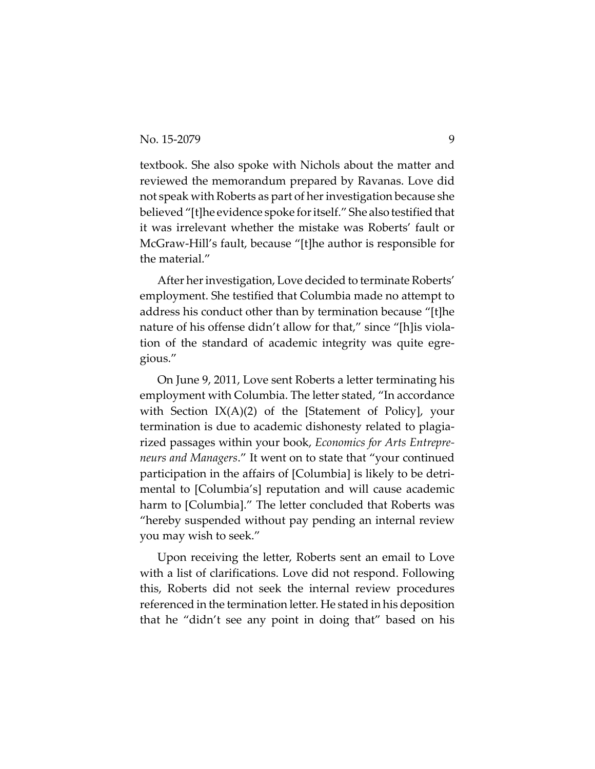textbook. She also spoke with Nichols about the matter and reviewed the memorandum prepared by Ravanas. Love did not speak with Roberts as part of her investigation because she believed "[t]he evidence spoke for itself." She also testified that it was irrelevant whether the mistake was Roberts' fault or McGraw‐Hill's fault, because "[t]he author is responsible for the material."

After her investigation, Love decided to terminate Roberts' employment. She testified that Columbia made no attempt to address his conduct other than by termination because "[t]he nature of his offense didn't allow for that," since "[h]is violation of the standard of academic integrity was quite egre‐ gious."

On June 9, 2011, Love sent Roberts a letter terminating his employment with Columbia. The letter stated, "In accordance with Section  $IX(A)(2)$  of the [Statement of Policy], your termination is due to academic dishonesty related to plagia‐ rized passages within your book, *Economics for Arts Entrepre‐ neurs and Managers*." It went on to state that "your continued participation in the affairs of [Columbia] is likely to be detri‐ mental to [Columbia's] reputation and will cause academic harm to [Columbia]." The letter concluded that Roberts was "hereby suspended without pay pending an internal review you may wish to seek."

Upon receiving the letter, Roberts sent an email to Love with a list of clarifications. Love did not respond. Following this, Roberts did not seek the internal review procedures referenced in the termination letter. He stated in his deposition that he "didn't see any point in doing that" based on his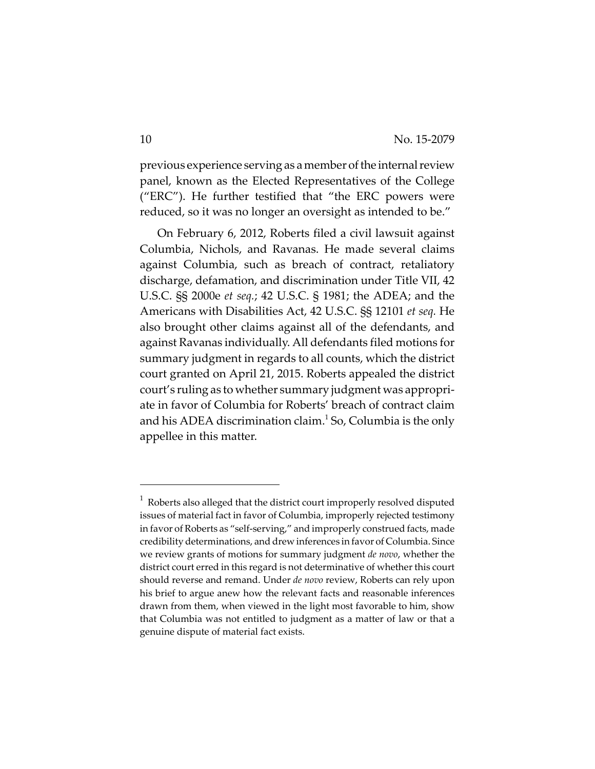previous experience serving as a member of the internal review panel, known as the Elected Representatives of the College ("ERC"). He further testified that "the ERC powers were reduced, so it was no longer an oversight as intended to be."

On February 6, 2012, Roberts filed a civil lawsuit against Columbia, Nichols, and Ravanas. He made several claims against Columbia, such as breach of contract, retaliatory discharge, defamation, and discrimination under Title VII, 42 U.S.C. §§ 2000e *et seq.*; 42 U.S.C. § 1981; the ADEA; and the Americans with Disabilities Act, 42 U.S.C. §§ 12101 *et seq.* He also brought other claims against all of the defendants, and against Ravanas individually. All defendants filed motions for summary judgment in regards to all counts, which the district court granted on April 21, 2015. Roberts appealed the district court's ruling as to whether summary judgment was appropri‐ ate in favor of Columbia for Roberts' breach of contract claim and his ADEA discrimination claim.<sup>1</sup> So, Columbia is the only appellee in this matter.

 $1$  Roberts also alleged that the district court improperly resolved disputed issues of material fact in favor of Columbia, improperly rejected testimony in favor of Roberts as "self‐serving," and improperly construed facts, made credibility determinations, and drew inferences in favor of Columbia. Since we review grants of motions for summary judgment *de novo*, whether the district court erred in this regard is not determinative of whether this court should reverse and remand. Under *de novo* review, Roberts can rely upon his brief to argue anew how the relevant facts and reasonable inferences drawn from them, when viewed in the light most favorable to him, show that Columbia was not entitled to judgment as a matter of law or that a genuine dispute of material fact exists.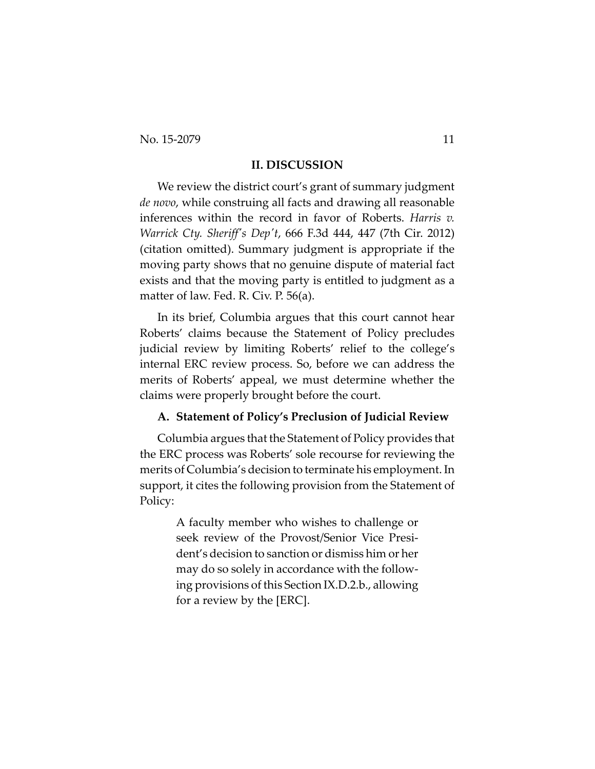No. 15-2079 11

#### **II. DISCUSSION**

We review the district court's grant of summary judgment *de novo*, while construing all facts and drawing all reasonable inferences within the record in favor of Roberts. *Harris v. Warrick Cty. Sheriffʹs Depʹt*, 666 F.3d 444, 447 (7th Cir. 2012) (citation omitted). Summary judgment is appropriate if the moving party shows that no genuine dispute of material fact exists and that the moving party is entitled to judgment as a matter of law. Fed. R. Civ. P. 56(a).

In its brief, Columbia argues that this court cannot hear Roberts' claims because the Statement of Policy precludes judicial review by limiting Roberts' relief to the college's internal ERC review process. So, before we can address the merits of Roberts' appeal, we must determine whether the claims were properly brought before the court.

#### **A. Statement of Policy's Preclusion of Judicial Review**

Columbia argues that the Statement of Policy provides that the ERC process was Roberts' sole recourse for reviewing the merits of Columbia's decision to terminate his employment. In support, it cites the following provision from the Statement of Policy:

> A faculty member who wishes to challenge or seek review of the Provost/Senior Vice Presi‐ dent's decision to sanction or dismiss him or her may do so solely in accordance with the follow‐ ing provisions of this Section IX.D.2.b., allowing for a review by the [ERC].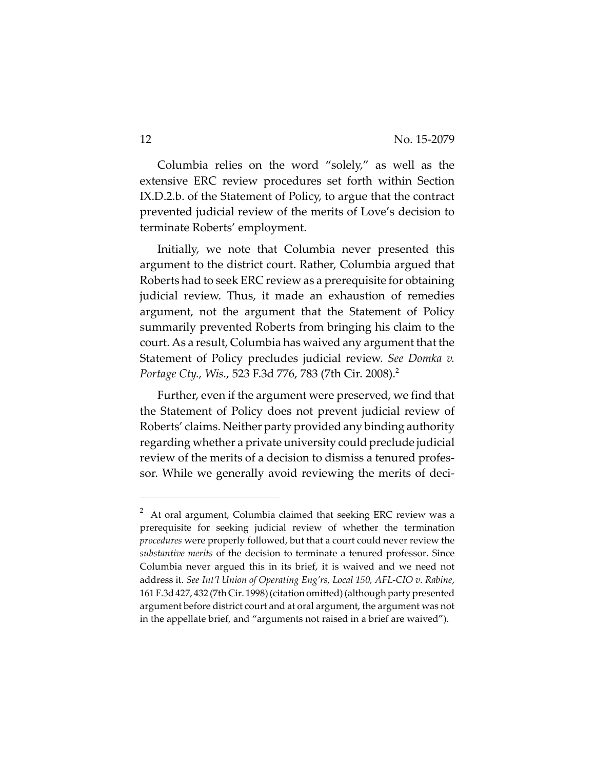Columbia relies on the word "solely," as well as the extensive ERC review procedures set forth within Section IX.D.2.b. of the Statement of Policy, to argue that the contract prevented judicial review of the merits of Love's decision to terminate Roberts' employment.

Initially, we note that Columbia never presented this argument to the district court. Rather, Columbia argued that Roberts had to seek ERC review as a prerequisite for obtaining judicial review. Thus, it made an exhaustion of remedies argument, not the argument that the Statement of Policy summarily prevented Roberts from bringing his claim to the court. As a result, Columbia has waived any argument that the Statement of Policy precludes judicial review. *See Domka v. Portage Cty., Wis.*, 523 F.3d 776, 783 (7th Cir. 2008).2

Further, even if the argument were preserved, we find that the Statement of Policy does not prevent judicial review of Roberts' claims. Neither party provided any binding authority regarding whether a private university could preclude judicial review of the merits of a decision to dismiss a tenured profes‐ sor. While we generally avoid reviewing the merits of deci-

<sup>2</sup> At oral argument, Columbia claimed that seeking ERC review was a prerequisite for seeking judicial review of whether the termination *procedures* were properly followed, but that a court could never review the *substantive merits* of the decision to terminate a tenured professor. Since Columbia never argued this in its brief, it is waived and we need not address it. *See Int'l Union of Operating Eng'rs, Local 150, AFL‐CIO v. Rabine*, 161 F.3d427, 432 (7th Cir. 1998)(citation omitted)(although partypresented argument before district court and at oral argument, the argument was not in the appellate brief, and "arguments not raised in a brief are waived").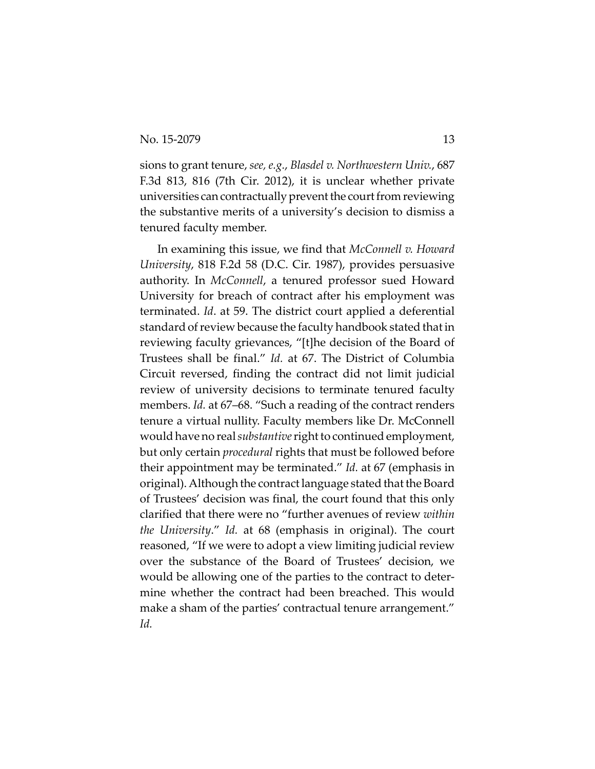sions to grant tenure, *see, e.g.*, *Blasdel v. Northwestern Univ.*, 687 F.3d 813, 816 (7th Cir. 2012), it is unclear whether private universities can contractually prevent the court from reviewing the substantive merits of a university's decision to dismiss a tenured faculty member.

In examining this issue, we find that *McConnell v. Howard University*, 818 F.2d 58 (D.C. Cir. 1987), provides persuasive authority. In *McConnell*, a tenured professor sued Howard University for breach of contract after his employment was terminated. *Id*. at 59. The district court applied a deferential standard of review because the faculty handbook stated that in reviewing faculty grievances, "[t]he decision of the Board of Trustees shall be final." *Id.* at 67. The District of Columbia Circuit reversed, finding the contract did not limit judicial review of university decisions to terminate tenured faculty members. *Id.* at 67–68. "Such a reading of the contract renders tenure a virtual nullity. Faculty members like Dr. McConnell would have no real *substantive* right to continued employment, but only certain *procedural* rights that must be followed before their appointment may be terminated." *Id.* at 67 (emphasis in original). Although the contract language stated that the Board of Trustees' decision was final, the court found that this only clarified that there were no "further avenues of review *within the University*." *Id.* at 68 (emphasis in original). The court reasoned, "If we were to adopt a view limiting judicial review over the substance of the Board of Trustees' decision, we would be allowing one of the parties to the contract to deter‐ mine whether the contract had been breached. This would make a sham of the parties' contractual tenure arrangement." *Id.*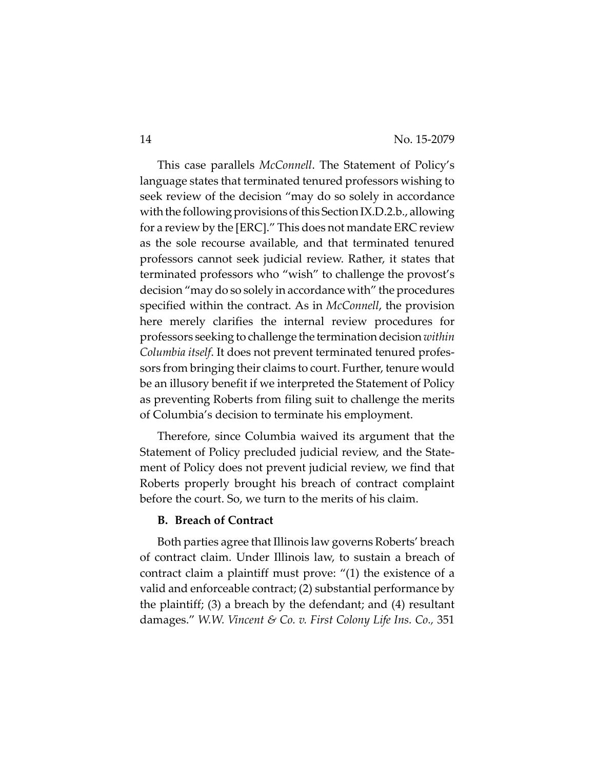This case parallels *McConnell*. The Statement of Policy's language states that terminated tenured professors wishing to seek review of the decision "may do so solely in accordance with the following provisions of this Section IX.D.2.b., allowing for a review by the [ERC]." This does not mandate ERC review as the sole recourse available, and that terminated tenured professors cannot seek judicial review. Rather, it states that terminated professors who "wish" to challenge the provost's decision "may do so solely in accordance with" the procedures specified within the contract. As in *McConnell*, the provision here merely clarifies the internal review procedures for professors seeking to challenge the termination decision *within Columbia itself*. It does not prevent terminated tenured profes‐ sors from bringing their claims to court. Further, tenure would be an illusory benefit if we interpreted the Statement of Policy as preventing Roberts from filing suit to challenge the merits of Columbia's decision to terminate his employment.

Therefore, since Columbia waived its argument that the Statement of Policy precluded judicial review, and the State‐ ment of Policy does not prevent judicial review, we find that Roberts properly brought his breach of contract complaint before the court. So, we turn to the merits of his claim.

#### **B. Breach of Contract**

Both parties agree that Illinois law governs Roberts' breach of contract claim. Under Illinois law, to sustain a breach of contract claim a plaintiff must prove: "(1) the existence of a valid and enforceable contract; (2) substantial performance by the plaintiff; (3) a breach by the defendant; and (4) resultant damages." *W.W. Vincent & Co. v. First Colony Life Ins. Co.,* 351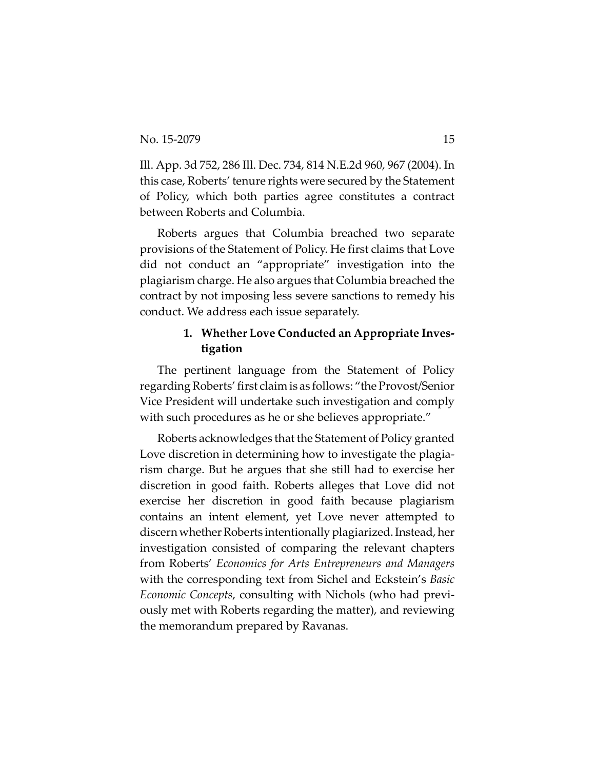Ill. App. 3d 752, 286 Ill. Dec. 734, 814 N.E.2d 960, 967 (2004). In this case, Roberts' tenure rights were secured by the Statement of Policy, which both parties agree constitutes a contract between Roberts and Columbia.

Roberts argues that Columbia breached two separate provisions of the Statement of Policy. He first claims that Love did not conduct an "appropriate" investigation into the plagiarism charge. He also argues that Columbia breached the contract by not imposing less severe sanctions to remedy his conduct. We address each issue separately.

# **1. Whether Love Conducted an Appropriate Inves‐ tigation**

The pertinent language from the Statement of Policy regardingRoberts'first claim is as follows: "the Provost/Senior Vice President will undertake such investigation and comply with such procedures as he or she believes appropriate."

Roberts acknowledges that the Statement of Policy granted Love discretion in determining how to investigate the plagia‐ rism charge. But he argues that she still had to exercise her discretion in good faith. Roberts alleges that Love did not exercise her discretion in good faith because plagiarism contains an intent element, yet Love never attempted to discern whether Roberts intentionally plagiarized. Instead, her investigation consisted of comparing the relevant chapters from Roberts' *Economics for Arts Entrepreneurs and Managers* with the corresponding text from Sichel and Eckstein's *Basic Economic Concepts*, consulting with Nichols (who had previ‐ ously met with Roberts regarding the matter), and reviewing the memorandum prepared by Ravanas.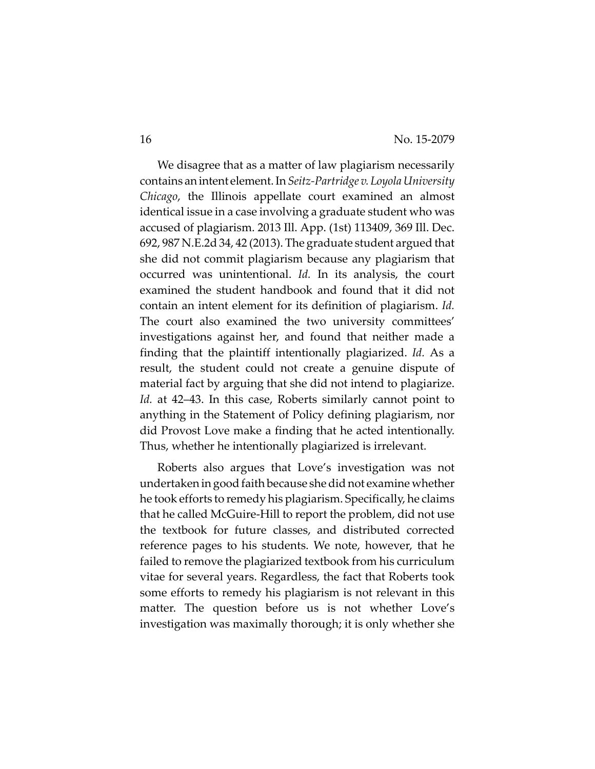We disagree that as a matter of law plagiarism necessarily contains anintent element.In*Seitz‐Partridge v. LoyolaUniversity Chicago*, the Illinois appellate court examined an almost identical issue in a case involving a graduate student who was accused of plagiarism. 2013 Ill. App. (1st) 113409, 369 Ill. Dec. 692, 987 N.E.2d 34, 42 (2013). The graduate student argued that she did not commit plagiarism because any plagiarism that occurred was unintentional. *Id.* In its analysis, the court examined the student handbook and found that it did not contain an intent element for its definition of plagiarism. *Id.* The court also examined the two university committees' investigations against her, and found that neither made a finding that the plaintiff intentionally plagiarized. *Id.* As a result, the student could not create a genuine dispute of material fact by arguing that she did not intend to plagiarize. *Id.* at 42–43. In this case, Roberts similarly cannot point to anything in the Statement of Policy defining plagiarism, nor did Provost Love make a finding that he acted intentionally. Thus, whether he intentionally plagiarized is irrelevant.

Roberts also argues that Love's investigation was not undertaken in good faith because she did not examine whether he took efforts to remedy his plagiarism. Specifically, he claims that he called McGuire‐Hill to report the problem, did not use the textbook for future classes, and distributed corrected reference pages to his students. We note, however, that he failed to remove the plagiarized textbook from his curriculum vitae for several years. Regardless, the fact that Roberts took some efforts to remedy his plagiarism is not relevant in this matter. The question before us is not whether Love's investigation was maximally thorough; it is only whether she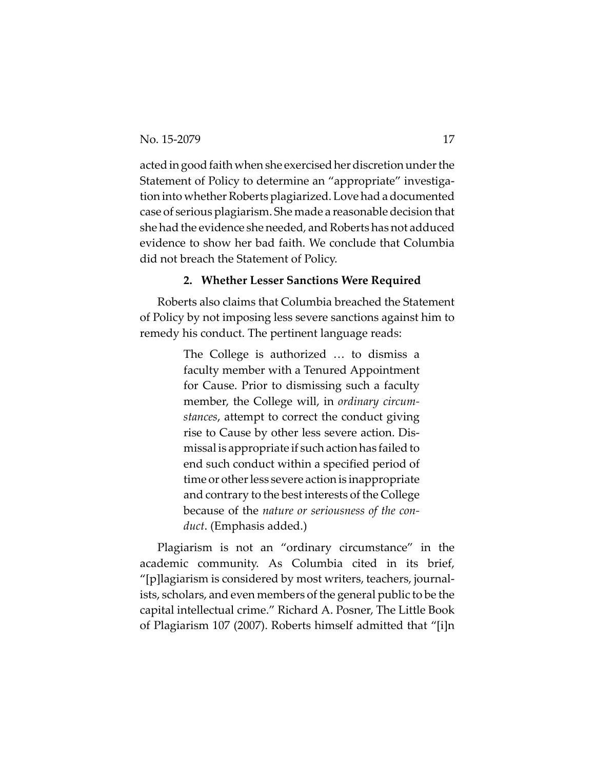acted in good faith when she exercised her discretion under the Statement of Policy to determine an "appropriate" investigation into whether Roberts plagiarized. Love had a documented case of serious plagiarism. She made a reasonable decision that she had the evidence she needed, and Roberts has not adduced evidence to show her bad faith. We conclude that Columbia did not breach the Statement of Policy.

#### **2. Whether Lesser Sanctions Were Required**

Roberts also claims that Columbia breached the Statement of Policy by not imposing less severe sanctions against him to remedy his conduct. The pertinent language reads:

> The College is authorized … to dismiss a faculty member with a Tenured Appointment for Cause. Prior to dismissing such a faculty member, the College will, in *ordinary circum‐ stances*, attempt to correct the conduct giving rise to Cause by other less severe action. Dis‐ missal is appropriate if such action has failed to end such conduct within a specified period of time or other less severe action is inappropriate and contrary to the best interests of the College because of the *nature or seriousness of the con‐ duct*. (Emphasis added.)

Plagiarism is not an "ordinary circumstance" in the academic community. As Columbia cited in its brief, "[p]lagiarism is considered by most writers, teachers, journal‐ ists, scholars, and even members of the general public to be the capital intellectual crime." Richard A. Posner, The Little Book of Plagiarism 107 (2007). Roberts himself admitted that "[i]n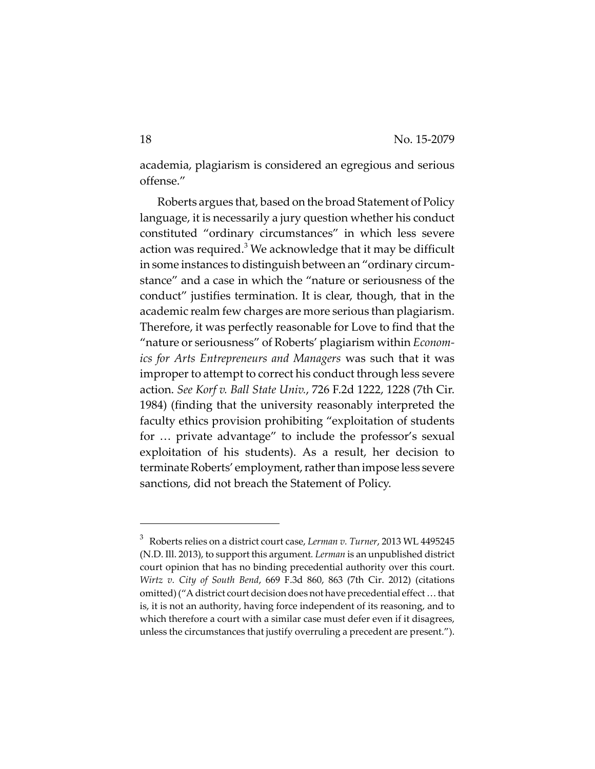academia, plagiarism is considered an egregious and serious offense."

Roberts argues that, based on the broad Statement of Policy language, it is necessarily a jury question whether his conduct constituted "ordinary circumstances" in which less severe action was required.<sup>3</sup> We acknowledge that it may be difficult in some instances to distinguish between an "ordinary circum‐ stance" and a case in which the "nature or seriousness of the conduct" justifies termination. It is clear, though, that in the academic realm few charges are more serious than plagiarism. Therefore, it was perfectly reasonable for Love to find that the "nature or seriousness" of Roberts' plagiarism within *Econom‐ ics for Arts Entrepreneurs and Managers* was such that it was improper to attempt to correct his conduct through less severe action. *See Korf v. Ball State Univ.*, 726 F.2d 1222, 1228 (7th Cir. 1984) (finding that the university reasonably interpreted the faculty ethics provision prohibiting "exploitation of students for … private advantage" to include the professor's sexual exploitation of his students). As a result, her decision to terminate Roberts' employment, rather than impose less severe sanctions, did not breach the Statement of Policy.

<sup>3</sup> Roberts relies on a district court case, *Lerman v. Turner*, 2013 WL 4495245 (N.D. Ill. 2013), to support this argument*. Lerman* is an unpublished district court opinion that has no binding precedential authority over this court. *Wirtz v. City of South Bend*, 669 F.3d 860, 863 (7th Cir. 2012) (citations omitted) ("A district court decision does not have precedential effect ... that is, it is not an authority, having force independent of its reasoning, and to which therefore a court with a similar case must defer even if it disagrees, unless the circumstances that justify overruling a precedent are present.").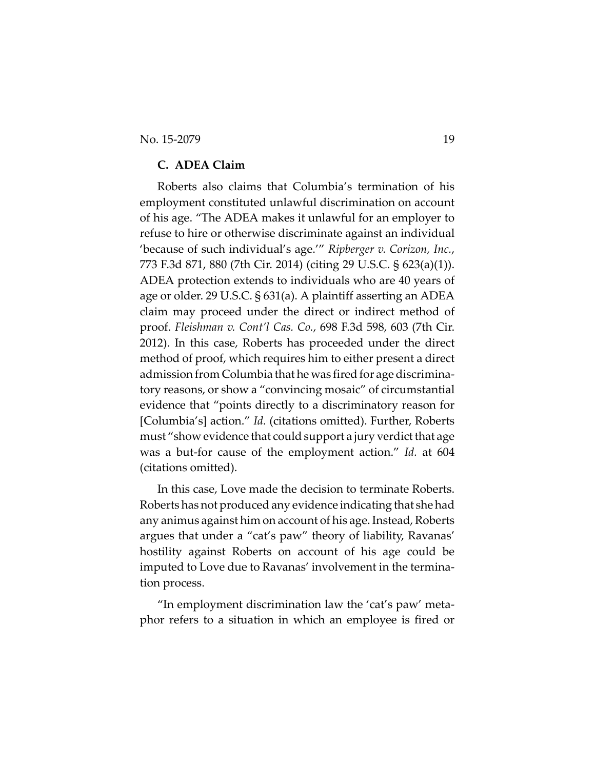### **C. ADEA Claim**

Roberts also claims that Columbia's termination of his employment constituted unlawful discrimination on account of his age. "The ADEA makes it unlawful for an employer to refuse to hire or otherwise discriminate against an individual 'because of such individual's age.'" *Ripberger v. Corizon, Inc.*, 773 F.3d 871, 880 (7th Cir. 2014) (citing 29 U.S.C. § 623(a)(1)). ADEA protection extends to individuals who are 40 years of age or older. 29 U.S.C. § 631(a). A plaintiff asserting an ADEA claim may proceed under the direct or indirect method of proof. *Fleishman v. Cont'l Cas. Co.*, 698 F.3d 598, 603 (7th Cir. 2012). In this case, Roberts has proceeded under the direct method of proof, which requires him to either present a direct admission from Columbia that he was fired for age discrimina‐ tory reasons, or show a "convincing mosaic" of circumstantial evidence that "points directly to a discriminatory reason for [Columbia's] action." *Id.* (citations omitted). Further, Roberts must "show evidence that could support a jury verdict that age was a but‐for cause of the employment action." *Id.* at 604 (citations omitted).

In this case, Love made the decision to terminate Roberts. Roberts has not produced any evidence indicating that she had any animus against him on account of his age. Instead, Roberts argues that under a "cat's paw" theory of liability, Ravanas' hostility against Roberts on account of his age could be imputed to Love due to Ravanas' involvement in the termina‐ tion process.

"In employment discrimination law the 'cat's paw' meta‐ phor refers to a situation in which an employee is fired or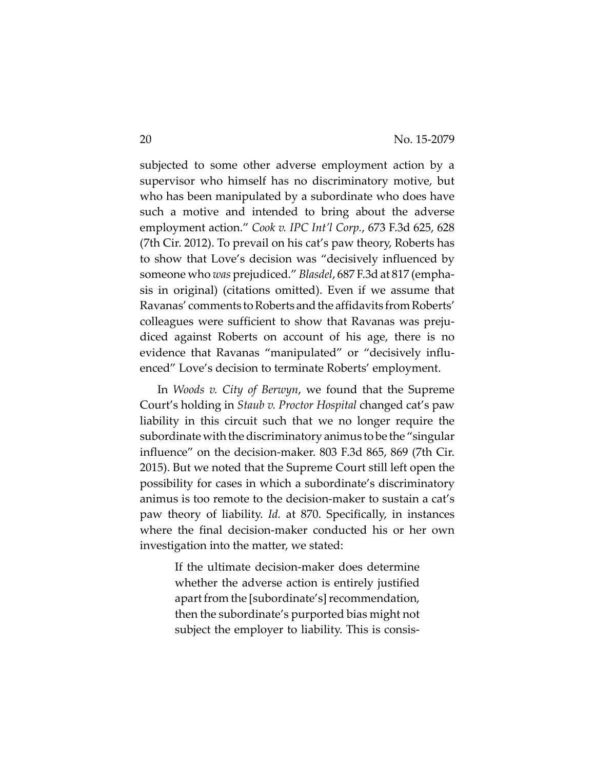subjected to some other adverse employment action by a supervisor who himself has no discriminatory motive, but who has been manipulated by a subordinate who does have such a motive and intended to bring about the adverse employment action." *Cook v. IPC Int'l Corp.*, 673 F.3d 625, 628 (7th Cir. 2012). To prevail on his cat's paw theory, Roberts has to show that Love's decision was "decisively influenced by someone who *was* prejudiced." *Blasdel*, 687 F.3d at 817 (empha‐ sis in original) (citations omitted). Even if we assume that Ravanas' comments to Roberts and the affidavits from Roberts' colleagues were sufficient to show that Ravanas was preju‐ diced against Roberts on account of his age, there is no evidence that Ravanas "manipulated" or "decisively influ‐ enced" Love's decision to terminate Roberts' employment.

In *Woods v. City of Berwyn*, we found that the Supreme Court's holding in *Staub v. Proctor Hospital* changed cat's paw liability in this circuit such that we no longer require the subordinate with the discriminatory animus to be the "singular influence" on the decision‐maker. 803 F.3d 865, 869 (7th Cir. 2015). But we noted that the Supreme Court still left open the possibility for cases in which a subordinate's discriminatory animus is too remote to the decision‐maker to sustain a cat's paw theory of liability. *Id.* at 870. Specifically, in instances where the final decision-maker conducted his or her own investigation into the matter, we stated:

> If the ultimate decision‐maker does determine whether the adverse action is entirely justified apart from the [subordinate's] recommendation, then the subordinate's purported bias might not subject the employer to liability. This is consis‐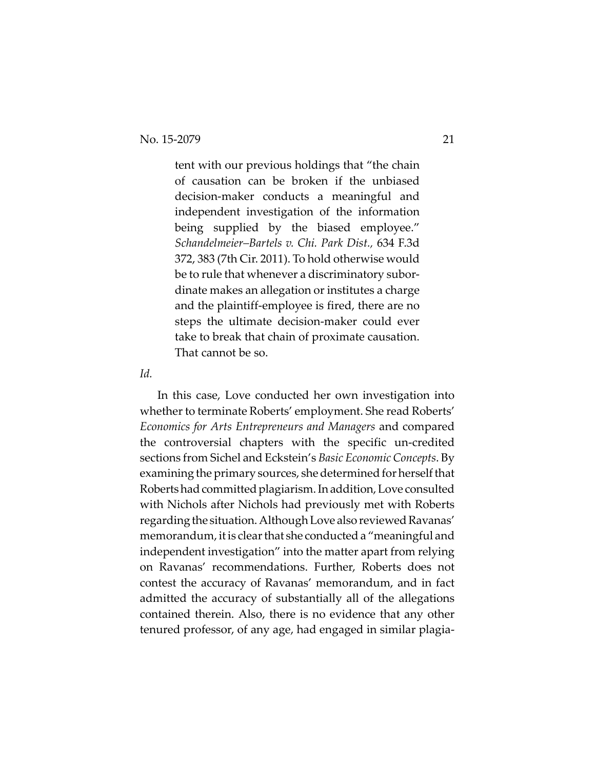tent with our previous holdings that "the chain of causation can be broken if the unbiased decision‐maker conducts a meaningful and independent investigation of the information being supplied by the biased employee." *Schandelmeier–Bartels v. Chi. Park Dist.,* 634 F.3d 372, 383 (7th Cir. 2011). To hold otherwise would be to rule that whenever a discriminatory subordinate makes an allegation or institutes a charge and the plaintiff‐employee is fired, there are no steps the ultimate decision‐maker could ever take to break that chain of proximate causation. That cannot be so.

*Id.*

In this case, Love conducted her own investigation into whether to terminate Roberts' employment. She read Roberts' *Economics for Arts Entrepreneurs and Managers* and compared the controversial chapters with the specific un‐credited sections from Sichel and Eckstein's *Basic Economic Concepts*. By examining the primary sources, she determined for herself that Robertshadcommittedplagiarism.Inaddition,Love consulted with Nichols after Nichols had previously met with Roberts regarding the situation. Although Love also reviewed Ravanas' memorandum, it is clear that she conducted a "meaningful and independent investigation" into the matter apart from relying on Ravanas' recommendations. Further, Roberts does not contest the accuracy of Ravanas' memorandum, and in fact admitted the accuracy of substantially all of the allegations contained therein. Also, there is no evidence that any other tenured professor, of any age, had engaged in similar plagia‐